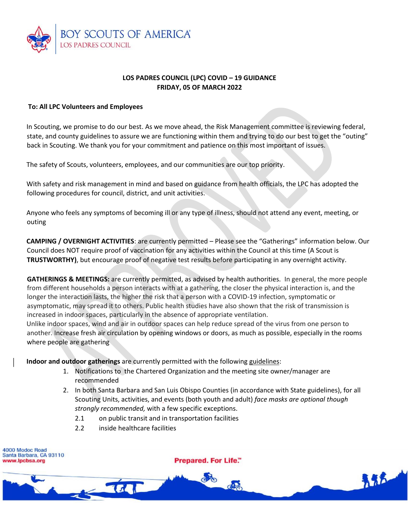

# **LOS PADRES COUNCIL (LPC) COVID – 19 GUIDANCE FRIDAY, 05 OF MARCH 2022**

### **To: All LPC Volunteers and Employees**

In Scouting, we promise to do our best. As we move ahead, the Risk Management committee is reviewing federal, state, and county guidelines to assure we are functioning within them and trying to do our best to get the "outing" back in Scouting. We thank you for your commitment and patience on this most important of issues.

The safety of Scouts, volunteers, employees, and our communities are our top priority.

With safety and risk management in mind and based on guidance from health officials, the LPC has adopted the following procedures for council, district, and unit activities.

Anyone who feels any symptoms of becoming ill or any type of illness, should not attend any event, meeting, or outing

**CAMPING / OVERNIGHT ACTIVITIES**: are currently permitted – Please see the "Gatherings" information below. Our Council does NOT require proof of vaccination for any activities within the Council at this time (A Scout is **TRUSTWORTHY)**, but encourage proof of negative test results before participating in any overnight activity.

**GATHERINGS & MEETINGS:** are currently permitted, as advised by health authorities. In general, the more people from different households a person interacts with at a gathering, the closer the physical interaction is, and the longer the interaction lasts, the higher the risk that a person with a COVID-19 infection, symptomatic or asymptomatic, may spread it to others. Public health studies have also shown that the risk of transmission is increased in indoor spaces, particularly in the absence of appropriate ventilation.

Unlike indoor spaces, wind and air in outdoor spaces can help reduce spread of the virus from one person to another. Increase fresh air circulation by opening windows or doors, as much as possible, especially in the rooms where people are gathering

**Indoor and outdoor gatherings** are currently permitted with the following guidelines:

- 1. Notifications to the Chartered Organization and the meeting site owner/manager are recommended
- 2. In both Santa Barbara and San Luis Obispo Counties (in accordance with State guidelines), for all Scouting Units, activities, and events (both youth and adult) *face masks are optional though strongly recommended,* with a few specific exceptions.
	- 2.1 on public transit and in transportation facilities
	- 2.2 inside healthcare facilities

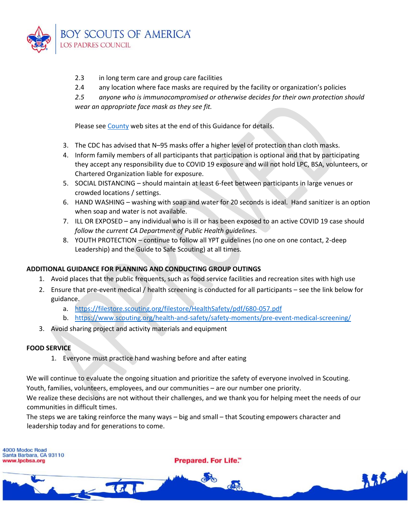

- 2.3 in long term care and group care facilities
- 2.4 any location where face masks are required by the facility or organization's policies

*2.5 anyone who is immunocompromised or otherwise decides for their own protection should wear an appropriate face mask as they see fit.*

Please see County web sites at the end of this Guidance for details.

- 3. The CDC has advised that N–95 masks offer a higher level of protection than cloth masks.
- 4. Inform family members of all participants that participation is optional and that by participating they accept any responsibility due to COVID 19 exposure and will not hold LPC, BSA, volunteers, or Chartered Organization liable for exposure.
- 5. SOCIAL DISTANCING should maintain at least 6-feet between participants in large venues or crowded locations / settings.
- 6. HAND WASHING washing with soap and water for 20 seconds is ideal. Hand sanitizer is an option when soap and water is not available.
- 7. ILL OR EXPOSED any individual who is ill or has been exposed to an active COVID 19 case should *follow the current CA Department of Public Health guidelines.*
- 8. YOUTH PROTECTION continue to follow all YPT guidelines (no one on one contact, 2-deep Leadership) and the Guide to Safe Scouting) at all times.

## **ADDITIONAL GUIDANCE FOR PLANNING AND CONDUCTING GROUP OUTINGS**

- 1. Avoid places that the public frequents, such as food service facilities and recreation sites with high use
- 2. Ensure that pre-event medical / health screening is conducted for all participants see the link below for guidance.
	- a. <https://filestore.scouting.org/filestore/HealthSafety/pdf/680-057.pdf>
	- b. <https://www.scouting.org/health-and-safety/safety-moments/pre-event-medical-screening/>
- 3. Avoid sharing project and activity materials and equipment

### **FOOD SERVICE**

1. Everyone must practice hand washing before and after eating

We will continue to evaluate the ongoing situation and prioritize the safety of everyone involved in Scouting. Youth, families, volunteers, employees, and our communities – are our number one priority.

We realize these decisions are not without their challenges, and we thank you for helping meet the needs of our communities in difficult times.

The steps we are taking reinforce the many ways – big and small – that Scouting empowers character and leadership today and for generations to come.